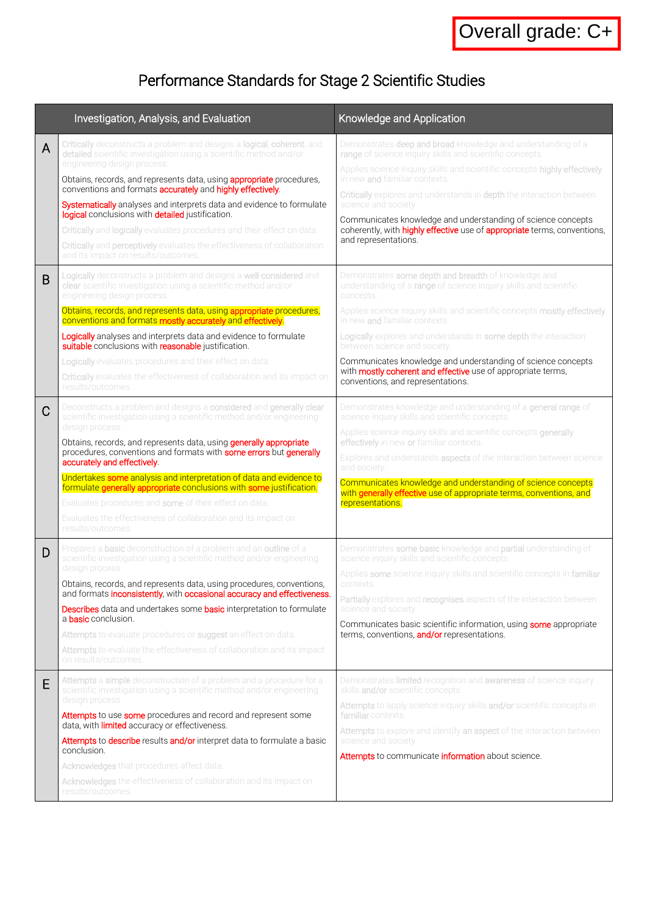# Performance Standards for Stage 2 Scientific Studies

|   | Investigation, Analysis, and Evaluation                                                                                                                                                                                                                                                                                                                                                                                                                                                                                                                                                                                                             | Knowledge and Application                                                                                                                                                                                                                                                                                                                                                                                                                                                                                                     |
|---|-----------------------------------------------------------------------------------------------------------------------------------------------------------------------------------------------------------------------------------------------------------------------------------------------------------------------------------------------------------------------------------------------------------------------------------------------------------------------------------------------------------------------------------------------------------------------------------------------------------------------------------------------------|-------------------------------------------------------------------------------------------------------------------------------------------------------------------------------------------------------------------------------------------------------------------------------------------------------------------------------------------------------------------------------------------------------------------------------------------------------------------------------------------------------------------------------|
| A | Critically deconstructs a problem and designs a logical, coherent, and<br>detailed scientific investigation using a scientific method and/or<br>engineering design process.<br>Obtains, records, and represents data, using <b>appropriate</b> procedures,<br>conventions and formats accurately and highly effectively.<br>Systematically analyses and interprets data and evidence to formulate<br>logical conclusions with detailed justification.<br>Critically and logically evaluates procedures and their effect on data.<br>Critically and perceptively evaluates the effectiveness of collaboration<br>and its impact on results/outcomes. | Demonstrates deep and broad knowledge and understanding of a<br>range of science inquiry skills and scientific concepts.<br>Applies science inquiry skills and scientific concepts highly effectively<br>in new and familiar contexts.<br>Critically explores and understands in depth the interaction between<br>science and society.<br>Communicates knowledge and understanding of science concepts<br>coherently, with <b>highly effective</b> use of <b>appropriate</b> terms, conventions,<br>and representations.      |
| B | Logically deconstructs a problem and designs a well-considered and<br>clear scientific investigation using a scientific method and/or<br>engineering design process.<br>Obtains, records, and represents data, using appropriate procedures,<br>conventions and formats mostly accurately and effectively.<br>Logically analyses and interprets data and evidence to formulate<br>suitable conclusions with reasonable justification.<br>Logically evaluates procedures and their effect on data.<br><b>Critically</b> evaluates the effectiveness of collaboration and its impact on<br>results/outcomes.                                          | Demonstrates some depth and breadth of knowledge and<br>understanding of a range of science inquiry skills and scientific<br>concepts.<br>Applies science inquiry skills and scientific concepts mostly effectively<br>in new and familiar contexts.<br>Logically explores and understands in some depth the interaction<br>between science and society.<br>Communicates knowledge and understanding of science concepts<br>with mostly coherent and effective use of appropriate terms,<br>conventions, and representations. |
| C | Deconstructs a problem and designs a considered and generally clear<br>scientific investigation using a scientific method and/or engineering<br>design process.<br>Obtains, records, and represents data, using <b>generally appropriate</b><br>procedures, conventions and formats with some errors but generally<br>accurately and effectively.<br>Undertakes some analysis and interpretation of data and evidence to<br>formulate generally appropriate conclusions with some justification.<br>Evaluates procedures and some of their effect on data.<br>Evaluates the effectiveness of collaboration and its impact on<br>results/outcomes.   | Demonstrates knowledge and understanding of a general range of<br>science inquiry skills and scientific concepts.<br>Applies science inquiry skills and scientific concepts generally<br>effectively in new or familiar contexts.<br>Explores and understands aspects of the interaction between science<br>and society.<br>Communicates knowledge and understanding of science concepts<br>with generally effective use of appropriate terms, conventions, and<br>representations.                                           |
| D | Prepares a <b>basic</b> deconstruction of a problem and an <b>outline</b> of a<br>scientific investigation using a scientific method and/or engineering<br>design process.<br>Obtains, records, and represents data, using procedures, conventions,<br>and formats <b>inconsistently</b> , with <b>occasional accuracy and effectiveness</b> .<br><b>Describes</b> data and undertakes some <b>basic</b> interpretation to formulate<br>a <b>basic</b> conclusion.<br>Attempts to evaluate procedures or suggest an effect on data.<br>Attempts to evaluate the effectiveness of collaboration and its impact<br>on results/outcomes.               | Demonstrates some basic knowledge and partial understanding of<br>science inquiry skills and scientific concepts.<br>Applies some science inquiry skills and scientific concepts in familiar<br>contexts.<br><b>Partially</b> explores and <b>recognises</b> aspects of the interaction between<br>science and society.<br>Communicates basic scientific information, using some appropriate<br>terms, conventions, and/or representations.                                                                                   |
| E | Attempts a simple deconstruction of a problem and a procedure for a<br>scientific investigation using a scientific method and/or engineering<br>design process.<br>Attempts to use some procedures and record and represent some<br>data, with <i>limited</i> accuracy or effectiveness.<br>Attempts to describe results and/or interpret data to formulate a basic<br>conclusion.<br>Acknowledges that procedures affect data.<br>Acknowledges the effectiveness of collaboration and its impact on<br>results/outcomes.                                                                                                                           | Demonstrates limited recognition and awareness of science inquiry<br>skills and/or scientific concepts.<br>Attempts to apply science inquiry skills and/or scientific concepts in<br>familiar contexts.<br>Attempts to explore and identify an aspect of the interaction between<br>science and society.<br>Attempts to communicate information about science.                                                                                                                                                                |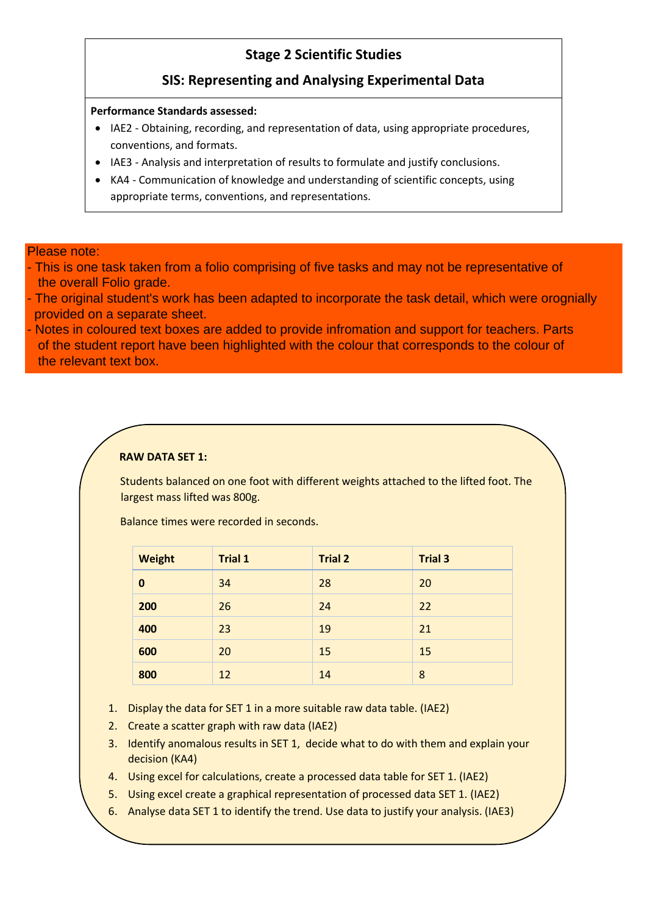# **Stage 2 Scientific Studies**

# **SIS: Representing and Analysing Experimental Data**

# **Performance Standards assessed:**

- IAE2 Obtaining, recording, and representation of data, using appropriate procedures, conventions, and formats.
- IAE3 Analysis and interpretation of results to formulate and justify conclusions.
- KA4 Communication of knowledge and understanding of scientific concepts, using appropriate terms, conventions, and representations.

# Please note:

- This is one task taken from a folio comprising of five tasks and may not be representative of the overall Folio grade.
- The original student's work has been adapted to incorporate the task detail, which were orognially provided on a separate sheet.
- Notes in coloured text boxes are added to provide infromation and support for teachers. Parts of the student report have been highlighted with the colour that corresponds to the colour of the relevant text box.

# **RAW DATA SET 1:**

Students balanced on one foot with different weights attached to the lifted foot. The largest mass lifted was 800g.

Balance times were recorded in seconds.

| Weight   | <b>Trial 1</b> | <b>Trial 2</b> | <b>Trial 3</b> |
|----------|----------------|----------------|----------------|
| $\bf{0}$ | 34             | 28             | 20             |
| 200      | 26             | 24             | 22             |
| 400      | 23             | 19             | 21             |
| 600      | 20             | 15             | 15             |
| 800      | 12             | 14             | 8              |

- 1. Display the data for SET 1 in a more suitable raw data table. (IAE2)
- 2. Create a scatter graph with raw data (IAE2)
- 3. Identify anomalous results in SET 1, decide what to do with them and explain your decision (KA4)
- 4. Using excel for calculations, create a processed data table for SET 1. (IAE2)
- 5. Using excel create a graphical representation of processed data SET 1. (IAE2)
- 6. Analyse data SET 1 to identify the trend. Use data to justify your analysis. (IAE3)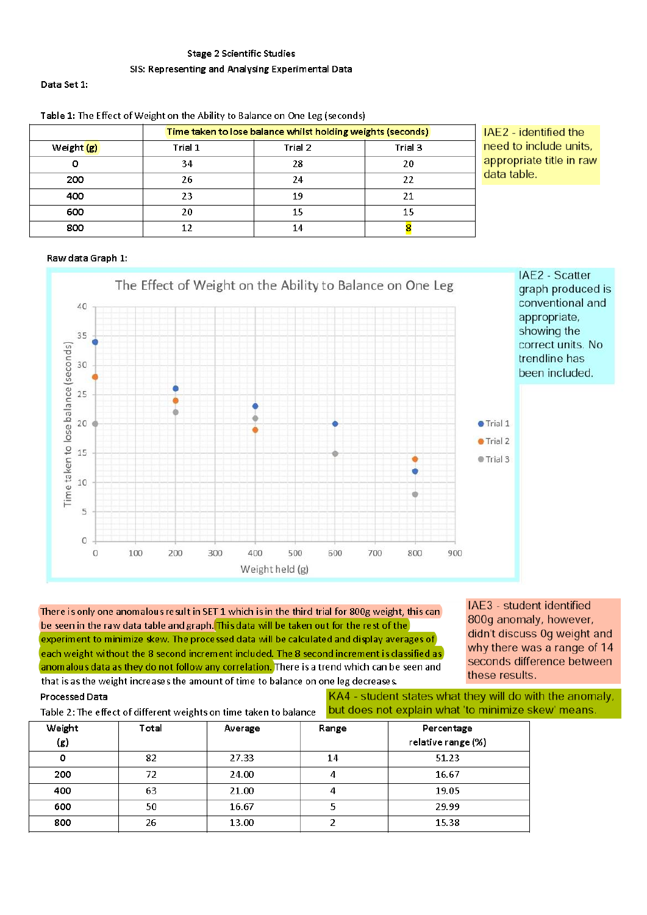# **Stage 2 Scientific Studies** SIS: Representing and Analysing Experimental Data

#### Data Set 1:

|            | Time taken to lose balance whilst holding weights (seconds) |         |         |  |  |
|------------|-------------------------------------------------------------|---------|---------|--|--|
| Weight (g) | Trial 1                                                     | Trial 2 | Trial 3 |  |  |
|            | 34                                                          | 28      | 20      |  |  |
| 200        | 26                                                          | 24      | 22      |  |  |
| 400        | 23                                                          | 19      | 21      |  |  |
| 600        | 20                                                          | 15      | 15      |  |  |
| 800        | 12                                                          | 14      |         |  |  |

# IAE2 - identified the need to include units, appropriate title in raw data table.

# Raw data Graph 1:



There is only one anomalous result in SET 1 which is in the third trial for 800g weight, this can be seen in the raw data table and graph. This data will be taken out for the rest of the experiment to minimize skew. The processed data will be calculated and display averages of each weight without the 8 second increment included. The 8 second increment is classified as anomalous data as they do not follow any correlation. There is a trend which can be seen and that is as the weight increases the amount of time to balance on one leg decreases.

IAE3 - student identified 800g anomaly, however, didn't discuss 0g weight and why there was a range of 14 seconds difference between these results.

**Processed Data** Table 2: The effect of different weights on time taken to balance

KA4 - student states what they will do with the anomaly, but does not explain what 'to minimize skew' means.

| Weight<br>(g) | Total<br>Average |       | Range | Percentage<br>relative range (%) |
|---------------|------------------|-------|-------|----------------------------------|
| o             | 82               | 27.33 | 14    | 51.23                            |
| 200           | 72               | 24.00 |       | 16.67                            |
| 400           | 63               | 21.00 |       | 19.05                            |
| 600           | 50               | 16.67 |       | 29.99                            |
| 800           | 26               | 13.00 |       | 15.38                            |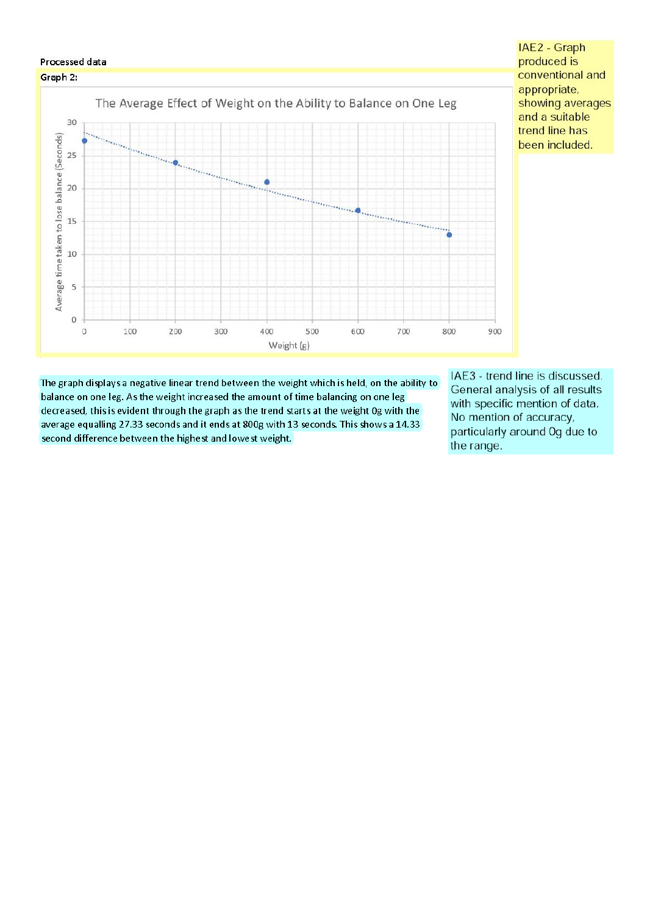

The graph displays a negative linear trend between the weight which is held, on the ability to balance on one leg. As the weight increased the amount of time balancing on one leg decreased, this is evident through the graph as the trend starts at the weight 0g with the average equalling 27.33 seconds and it ends at 800g with 13 seconds. This shows a 14.33 second difference between the highest and lowest weight.

IAE3 - trend line is discussed. General analysis of all results with specific mention of data. No mention of accuracy, particularly around Og due to the range.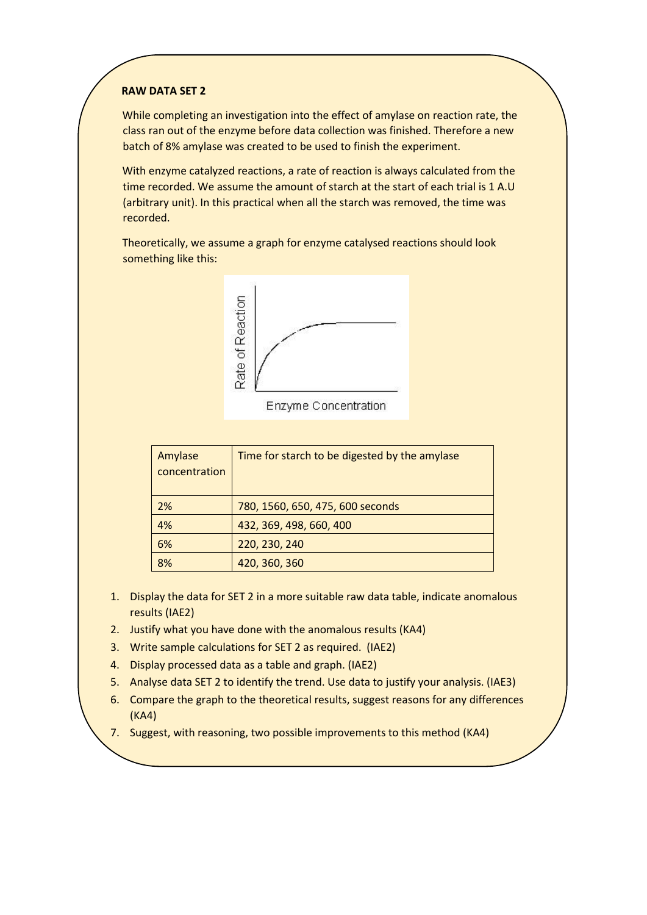# **RAW DATA SET 2**

While completing an investigation into the effect of amylase on reaction rate, the class ran out of the enzyme before data collection was finished. Therefore a new batch of 8% amylase was created to be used to finish the experiment.

With enzyme catalyzed reactions, a rate of reaction is always calculated from the time recorded. We assume the amount of starch at the start of each trial is 1 A.U (arbitrary unit). In this practical when all the starch was removed, the time was recorded.

Theoretically, we assume a graph for enzyme catalysed reactions should look something like this:



Enzyme Concentration

| Amylase<br>concentration | Time for starch to be digested by the amylase |
|--------------------------|-----------------------------------------------|
| 2%                       | 780, 1560, 650, 475, 600 seconds              |
| 4%                       | 432, 369, 498, 660, 400                       |
| 6%                       | 220, 230, 240                                 |
| 8%                       | 420, 360, 360                                 |

- 1. Display the data for SET 2 in a more suitable raw data table, indicate anomalous results (IAE2)
- 2. Justify what you have done with the anomalous results (KA4)
- 3. Write sample calculations for SET 2 as required. (IAE2)
- 4. Display processed data as a table and graph. (IAE2)
- 5. Analyse data SET 2 to identify the trend. Use data to justify your analysis. (IAE3)
- 6. Compare the graph to the theoretical results, suggest reasons for any differences (KA4)
- 7. Suggest, with reasoning, two possible improvements to this method (KA4)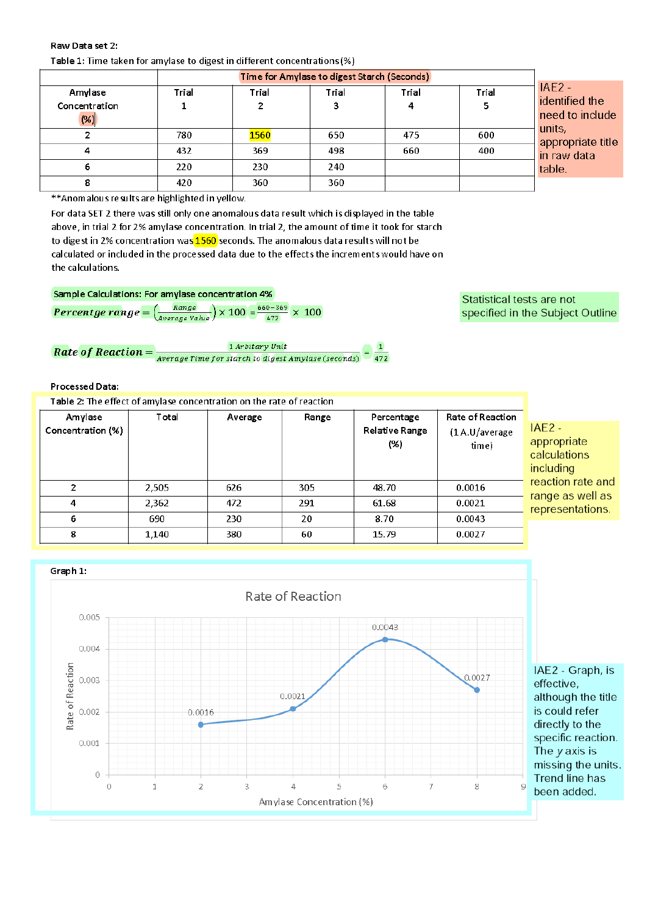### Raw Data set 2: Table 1: Time taken for amylase to digest in different concentrations (%)

|                                  | Time for Amylase to digest Starch (Seconds) |            |            |            |       |                                                                                                       |
|----------------------------------|---------------------------------------------|------------|------------|------------|-------|-------------------------------------------------------------------------------------------------------|
| Amylase<br>Concentration<br>(% ) | Trial                                       | Trial<br>2 | Trial<br>з | Trial<br>4 | Trial | $IAE2 -$<br>identified the<br>need to include<br>units,<br>appropriate title<br>in raw data<br>table. |
| Ω.                               | 780                                         | 1560       | 650        | 475        | 600   |                                                                                                       |
|                                  | 432                                         | 369        | 498        | 660        | 400   |                                                                                                       |
| 6                                | 220                                         | 230        | 240        |            |       |                                                                                                       |
| 8                                | 420                                         | 360        | 360        |            |       |                                                                                                       |

\*\* Anomalous results are highlighted in yellow.

For data SET 2 there was still only one anomalous data result which is displayed in the table above, in trial 2 for 2% amylase concentration. In trial 2, the amount of time it took for starch to digest in 2% concentration was 1560 seconds. The anomalous data results will not be calculated or included in the processed data due to the effects the increments would have on the calculations.

Sample Calculations: For amylase concentration 4%

**Percentge range** =  $\frac{Range}{Average Value}$  × 100 =  $\frac{660-369}{472}$  × 100

**Rate of Reaction =**  $\frac{1 \text{ Arbitrary Unit}}{Average Time for start to digest Amylase (seconds)}$ 

### **Processed Data:**

| Table 2: The effect of amylase concentration on the rate of reaction |       |         |       |                                      |                                              |                                                      |
|----------------------------------------------------------------------|-------|---------|-------|--------------------------------------|----------------------------------------------|------------------------------------------------------|
| Amylase<br>Concentration (%)                                         | Total | Average | Range | Percentage<br>Relative Range<br>(% ) | Rate of Reaction<br>(1 A.U/average)<br>time) | $IAE2 -$<br>appropriate<br>calculations<br>including |
| 2                                                                    | 2.505 | 626     | 305   | 48.70                                | 0.0016                                       | reaction rate an<br>range as well as                 |
| 4                                                                    | 2,362 | 472     | 291   | 61.68                                | 0.0021                                       | representations.                                     |
| 6                                                                    | 690   | 230     | 20    | 8.70                                 | 0.0043                                       |                                                      |
| 8                                                                    | 1.140 | 380     | 60    | 15.79                                | 0.0027                                       |                                                      |
|                                                                      |       |         |       |                                      |                                              |                                                      |



Statistical tests are not specified in the Subject Outline